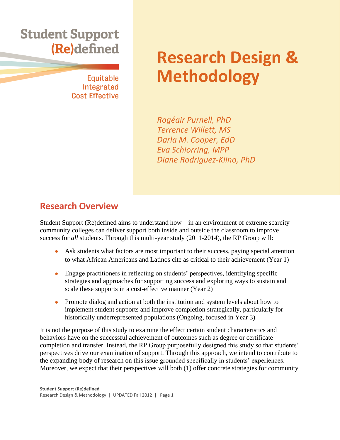# **Student Support g**

**Equitable** Integrated **Cost Effective** 

# **Research Design & Methodology**

*Rogéair Purnell, PhD Terrence Willett, MS Darla M. Cooper, EdD Eva Schiorring, MPP Diane Rodriguez-Kiino, PhD*

## **Research Overview**

Student Support (Re)defined aims to understand how—in an environment of extreme scarcity community colleges can deliver support both inside and outside the classroom to improve success for *all* students. Through this multi-year study (2011-2014), the RP Group will:

- Ask students what factors are most important to their success, paying special attention to what African Americans and Latinos cite as critical to their achievement (Year 1)
- Engage practitioners in reflecting on students' perspectives, identifying specific strategies and approaches for supporting success and exploring ways to sustain and scale these supports in a cost-effective manner (Year 2)
- Promote dialog and action at both the institution and system levels about how to implement student supports and improve completion strategically, particularly for historically underrepresented populations (Ongoing, focused in Year 3)

It is not the purpose of this study to examine the effect certain student characteristics and behaviors have on the successful achievement of outcomes such as degree or certificate completion and transfer. Instead, the RP Group purposefully designed this study so that students' perspectives drive our examination of support. Through this approach, we intend to contribute to the expanding body of research on this issue grounded specifically in students' experiences. Moreover, we expect that their perspectives will both (1) offer concrete strategies for community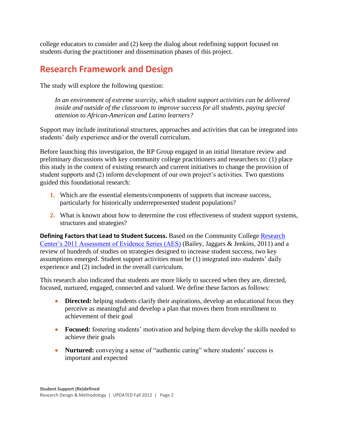college educators to consider and (2) keep the dialog about redefining support focused on students during the practitioner and dissemination phases of this project.

# **Research Framework and Design**

The study will explore the following question:

*In an environment of extreme scarcity, which student support activities can be delivered inside and outside of the classroom to improve success for all students, paying special attention to African-American and Latino learners?* 

Support may include institutional structures, approaches and activities that can be integrated into students' daily experience and/or the overall curriculum.

Before launching this investigation, the RP Group engaged in an initial literature review and preliminary discussions with key community college practitioners and researchers to: (1) place this study in the context of existing research and current initiatives to change the provision of student supports and (2) inform development of our own project's activities. Two questions guided this foundational research:

- **1.** Which are the essential elements/components of supports that increase success, particularly for historically underrepresented student populations?
- **2.** What is known about how to determine the cost effectiveness of student support systems, structures and strategies?

**Defining Factors that Lead to Student Success.** Based on the Community College [Research](http://ccrc.tc.columbia.edu/Publication.asp?UID=845)  [Center's 2011 Assessment of Evidence Series \(AES\)](http://ccrc.tc.columbia.edu/Publication.asp?UID=845) (Bailey, Jaggars & Jenkins, 2011) and a review of hundreds of studies on strategies designed to increase student success, two key assumptions emerged. Student support activities must be (1) integrated into students' daily experience and (2) included in the overall curriculum.

This research also indicated that students are more likely to succeed when they are, directed, focused, nurtured, engaged, connected and valued. We define these factors as follows:

- **Directed:** helping students clarify their aspirations, develop an educational focus they perceive as meaningful and develop a plan that moves them from enrollment to achievement of their goal
- **Focused:** fostering students' motivation and helping them develop the skills needed to achieve their goals
- **Nurtured:** conveying a sense of "authentic caring" where students' success is important and expected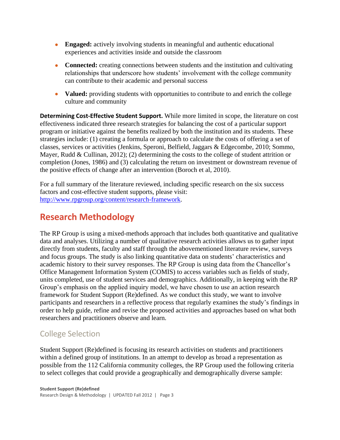- **Engaged:** actively involving students in meaningful and authentic educational experiences and activities inside and outside the classroom
- **Connected:** creating connections between students and the institution and cultivating relationships that underscore how students' involvement with the college community can contribute to their academic and personal success
- **Valued:** providing students with opportunities to contribute to and enrich the college culture and community

**Determining Cost-Effective Student Support.** While more limited in scope, the literature on cost effectiveness indicated three research strategies for balancing the cost of a particular support program or initiative against the benefits realized by both the institution and its students. These strategies include: (1) creating a formula or approach to calculate the costs of offering a set of classes, services or activities (Jenkins, Speroni, Belfield, Jaggars & Edgecombe, 2010; Sommo, Mayer, Rudd & Cullinan, 2012); (2) determining the costs to the college of student attrition or completion (Jones, 1986) and (3) calculating the return on investment or downstream revenue of the positive effects of change after an intervention (Boroch et al, 2010).

For a full summary of the literature reviewed, including specific research on the six success factors and cost-effective student supports, please visit: [http://www.rpgroup.org/content/research-framework.](http://www.rpgroup.org/content/research-framework)

# **Research Methodology**

The RP Group is using a mixed-methods approach that includes both quantitative and qualitative data and analyses. Utilizing a number of qualitative research activities allows us to gather input directly from students, faculty and staff through the abovementioned literature review, surveys and focus groups. The study is also linking quantitative data on students' characteristics and academic history to their survey responses. The RP Group is using data from the Chancellor's Office Management Information System (COMIS) to access variables such as fields of study, units completed, use of student services and demographics. Additionally, in keeping with the RP Group's emphasis on the applied inquiry model, we have chosen to use an action research framework for Student Support (Re)defined. As we conduct this study, we want to involve participants and researchers in a reflective process that regularly examines the study's findings in order to help guide, refine and revise the proposed activities and approaches based on what both researchers and practitioners observe and learn.

## College Selection

Student Support (Re)defined is focusing its research activities on students and practitioners within a defined group of institutions. In an attempt to develop as broad a representation as possible from the 112 California community colleges, the RP Group used the following criteria to select colleges that could provide a geographically and demographically diverse sample: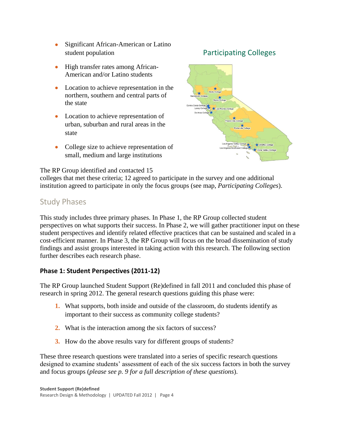- Significant African-American or Latino student population
- High transfer rates among African-American and/or Latino students
- Location to achieve representation in the northern, southern and central parts of the state
- Location to achieve representation of urban, suburban and rural areas in the state
- College size to achieve representation of small, medium and large institutions



The RP Group identified and contacted 15

colleges that met these criteria; 12 agreed to participate in the survey and one additional institution agreed to participate in only the focus groups (see map, *Participating Colleges*).

### Study Phases

This study includes three primary phases. In Phase 1, the RP Group collected student perspectives on what supports their success. In Phase 2, we will gather practitioner input on these student perspectives and identify related effective practices that can be sustained and scaled in a cost-efficient manner. In Phase 3, the RP Group will focus on the broad dissemination of study findings and assist groups interested in taking action with this research. The following section further describes each research phase.

#### **Phase 1: Student Perspectives (2011-12)**

The RP Group launched Student Support (Re)defined in fall 2011 and concluded this phase of research in spring 2012. The general research questions guiding this phase were:

- **1.** What supports, both inside and outside of the classroom, do students identify as important to their success as community college students?
- **2.** What is the interaction among the six factors of success?
- **3.** How do the above results vary for different groups of students?

These three research questions were translated into a series of specific research questions designed to examine students' assessment of each of the six success factors in both the survey and focus groups (*please see p. 9 for a full description of these questions*).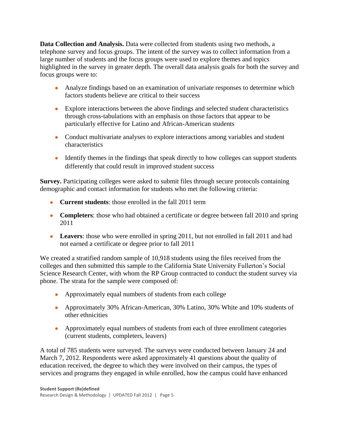**Data Collection and Analysis.** Data were collected from students using two methods, a telephone survey and focus groups. The intent of the survey was to collect information from a large number of students and the focus groups were used to explore themes and topics highlighted in the survey in greater depth. The overall data analysis goals for both the survey and focus groups were to:

- Analyze findings based on an examination of univariate responses to determine which factors students believe are critical to their success
- Explore interactions between the above findings and selected student characteristics through cross-tabulations with an emphasis on those factors that appear to be particularly effective for Latino and African-American students
- Conduct multivariate analyses to explore interactions among variables and student characteristics
- Identify themes in the findings that speak directly to how colleges can support students differently that could result in improved student success

**Survey.** Participating colleges were asked to submit files through secure protocols containing demographic and contact information for students who met the following criteria:

- **Current students:** those enrolled in the fall 2011 term
- **Completers**: those who had obtained a certificate or degree between fall 2010 and spring 2011
- Leavers: those who were enrolled in spring 2011, but not enrolled in fall 2011 and had not earned a certificate or degree prior to fall 2011

We created a stratified random sample of 10,918 students using the files received from the colleges and then submitted this sample to the California State University Fullerton's Social Science Research Center, with whom the RP Group contracted to conduct the student survey via phone. The strata for the sample were composed of:

- Approximately equal numbers of students from each college
- Approximately 30% African-American, 30% Latino, 30% White and 10% students of other ethnicities
- Approximately equal numbers of students from each of three enrollment categories (current students, completers, leavers)

A total of 785 students were surveyed. The surveys were conducted between January 24 and March 7, 2012. Respondents were asked approximately 41 questions about the quality of education received, the degree to which they were involved on their campus, the types of services and programs they engaged in while enrolled, how the campus could have enhanced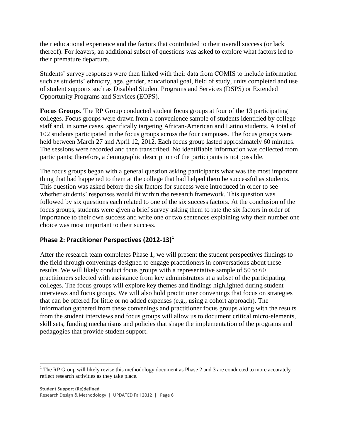their educational experience and the factors that contributed to their overall success (or lack thereof). For leavers, an additional subset of questions was asked to explore what factors led to their premature departure.

Students' survey responses were then linked with their data from COMIS to include information such as students' ethnicity, age, gender, educational goal, field of study, units completed and use of student supports such as Disabled Student Programs and Services (DSPS) or Extended Opportunity Programs and Services (EOPS).

**Focus Groups.** The RP Group conducted student focus groups at four of the 13 participating colleges. Focus groups were drawn from a convenience sample of students identified by college staff and, in some cases, specifically targeting African-American and Latino students. A total of 102 students participated in the focus groups across the four campuses. The focus groups were held between March 27 and April 12, 2012. Each focus group lasted approximately 60 minutes. The sessions were recorded and then transcribed. No identifiable information was collected from participants; therefore, a demographic description of the participants is not possible.

The focus groups began with a general question asking participants what was the most important thing that had happened to them at the college that had helped them be successful as students. This question was asked before the six factors for success were introduced in order to see whether students' responses would fit within the research framework. This question was followed by six questions each related to one of the six success factors. At the conclusion of the focus groups, students were given a brief survey asking them to rate the six factors in order of importance to their own success and write one or two sentences explaining why their number one choice was most important to their success.

### **Phase 2: Practitioner Perspectives (2012-13)<sup>1</sup>**

After the research team completes Phase 1, we will present the student perspectives findings to the field through convenings designed to engage practitioners in conversations about these results. We will likely conduct focus groups with a representative sample of 50 to 60 practitioners selected with assistance from key administrators at a subset of the participating colleges. The focus groups will explore key themes and findings highlighted during student interviews and focus groups. We will also hold practitioner convenings that focus on strategies that can be offered for little or no added expenses (e.g., using a cohort approach). The information gathered from these convenings and practitioner focus groups along with the results from the student interviews and focus groups will allow us to document critical micro-elements, skill sets, funding mechanisms and policies that shape the implementation of the programs and pedagogies that provide student support.

 $\overline{a}$ 

 $1$  The RP Group will likely revise this methodology document as Phase 2 and 3 are conducted to more accurately reflect research activities as they take place.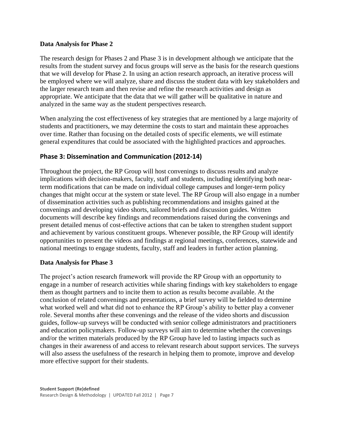#### **Data Analysis for Phase 2**

The research design for Phases 2 and Phase 3 is in development although we anticipate that the results from the student survey and focus groups will serve as the basis for the research questions that we will develop for Phase 2. In using an action research approach, an iterative process will be employed where we will analyze, share and discuss the student data with key stakeholders and the larger research team and then revise and refine the research activities and design as appropriate. We anticipate that the data that we will gather will be qualitative in nature and analyzed in the same way as the student perspectives research.

When analyzing the cost effectiveness of key strategies that are mentioned by a large majority of students and practitioners, we may determine the costs to start and maintain these approaches over time. Rather than focusing on the detailed costs of specific elements, we will estimate general expenditures that could be associated with the highlighted practices and approaches.

#### **Phase 3: Dissemination and Communication (2012-14)**

Throughout the project, the RP Group will host convenings to discuss results and analyze implications with decision-makers, faculty, staff and students, including identifying both nearterm modifications that can be made on individual college campuses and longer-term policy changes that might occur at the system or state level. The RP Group will also engage in a number of dissemination activities such as publishing recommendations and insights gained at the convenings and developing video shorts, tailored briefs and discussion guides. Written documents will describe key findings and recommendations raised during the convenings and present detailed menus of cost-effective actions that can be taken to strengthen student support and achievement by various constituent groups. Whenever possible, the RP Group will identify opportunities to present the videos and findings at regional meetings, conferences, statewide and national meetings to engage students, faculty, staff and leaders in further action planning.

#### **Data Analysis for Phase 3**

The project's action research framework will provide the RP Group with an opportunity to engage in a number of research activities while sharing findings with key stakeholders to engage them as thought partners and to incite them to action as results become available. At the conclusion of related convenings and presentations, a brief survey will be fielded to determine what worked well and what did not to enhance the RP Group's ability to better play a convener role. Several months after these convenings and the release of the video shorts and discussion guides, follow-up surveys will be conducted with senior college administrators and practitioners and education policymakers. Follow-up surveys will aim to determine whether the convenings and/or the written materials produced by the RP Group have led to lasting impacts such as changes in their awareness of and access to relevant research about support services. The surveys will also assess the usefulness of the research in helping them to promote, improve and develop more effective support for their students.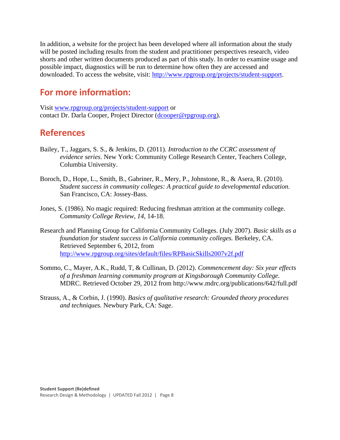In addition, a website for the project has been developed where all information about the study will be posted including results from the student and practitioner perspectives research, video shorts and other written documents produced as part of this study. In order to examine usage and possible impact, diagnostics will be run to determine how often they are accessed and downloaded. To access the website, visit: [http://www.rpgroup.org/projects/student-support.](http://www.rpgroup.org/projects/student-support)

## **For more information:**

Visit [www.rpgroup.org/projects/student-support](http://www.rpgroup.org/projects/student-support) or contact Dr. Darla Cooper, Project Director [\(dcooper@rpgroup.org\)](mailto:dcooper@rpgroup.org).

## **References**

- Bailey, T., Jaggars, S. S., & Jenkins, D. (2011). *Introduction to the CCRC assessment of evidence series*. New York: Community College Research Center, Teachers College, Columbia University.
- Boroch, D., Hope, L., Smith, B., Gabriner, R., Mery, P., Johnstone, R., & Asera, R. (2010). *Student success in community colleges: A practical guide to developmental education.* San Francisco, CA: Jossey-Bass.
- Jones, S. (1986). No magic required: Reducing freshman attrition at the community college. *Community College Review, 14,* 14-18.
- Research and Planning Group for California Community Colleges. (July 2007). *Basic skills as a foundation for student success in California community colleges.* Berkeley, CA. Retrieved September 6, 2012, from <http://www.rpgroup.org/sites/default/files/RPBasicSkills2007v2f.pdf>
- Sommo, C., Mayer, A.K., Rudd, T, & Cullinan, D. (2012). *Commencement day: Six year effects of a freshman learning community program at Kingsborough Community College.* MDRC. Retrieved October 29, 2012 from http://www.mdrc.org/publications/642/full.pdf
- Strauss, A., & Corbin, J. (1990). *Basics of qualitative research: Grounded theory procedures and techniques.* Newbury Park, CA: Sage.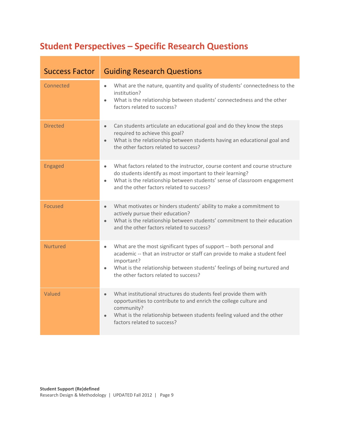# **Student Perspectives – Specific Research Questions**

| <b>Success Factor</b> | <b>Guiding Research Questions</b>                                                                                                                                                                                                                                                                               |
|-----------------------|-----------------------------------------------------------------------------------------------------------------------------------------------------------------------------------------------------------------------------------------------------------------------------------------------------------------|
| Connected             | What are the nature, quantity and quality of students' connectedness to the<br>$\bullet$<br>institution?<br>What is the relationship between students' connectedness and the other<br>$\bullet$<br>factors related to success?                                                                                  |
| <b>Directed</b>       | Can students articulate an educational goal and do they know the steps<br>$\bullet$<br>required to achieve this goal?<br>What is the relationship between students having an educational goal and<br>$\bullet$<br>the other factors related to success?                                                         |
| Engaged               | What factors related to the instructor, course content and course structure<br>$\bullet$<br>do students identify as most important to their learning?<br>What is the relationship between students' sense of classroom engagement<br>$\bullet$<br>and the other factors related to success?                     |
| <b>Focused</b>        | What motivates or hinders students' ability to make a commitment to<br>$\bullet$<br>actively pursue their education?<br>What is the relationship between students' commitment to their education<br>$\bullet$<br>and the other factors related to success?                                                      |
| <b>Nurtured</b>       | What are the most significant types of support -- both personal and<br>$\bullet$<br>academic -- that an instructor or staff can provide to make a student feel<br>important?<br>What is the relationship between students' feelings of being nurtured and<br>$\bullet$<br>the other factors related to success? |
| Valued                | What institutional structures do students feel provide them with<br>$\bullet$<br>opportunities to contribute to and enrich the college culture and<br>community?<br>What is the relationship between students feeling valued and the other<br>$\bullet$<br>factors related to success?                          |